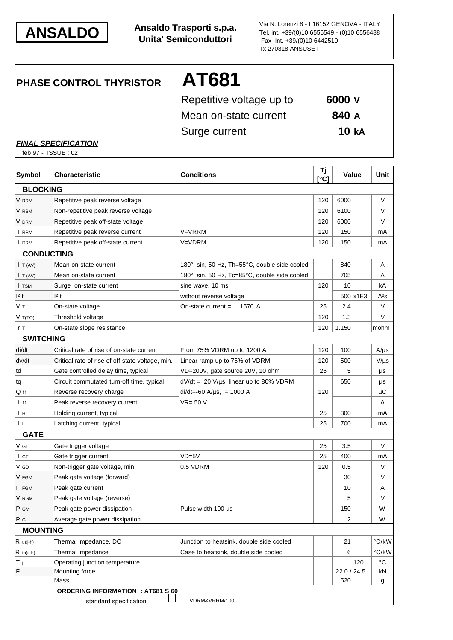

**ANSALDO Ansaldo Trasporti s.p.a. Unita' Semiconduttori**

Via N. Lorenzi 8 - I 16152 GENOVA - ITALY Tel. int. +39/(0)10 6556549 - (0)10 6556488 Fax Int. +39/(0)10 6442510 Tx 270318 ANSUSE I -

**PHASE CONTROL THYRISTOR AT681**

| Repetitive voltage up to | 6000 V       |
|--------------------------|--------------|
| Mean on-state current    | 840 A        |
| Surge current            | <b>10 kA</b> |

*FINAL SPECIFICATION*

feb 97 - ISSUE : 02

| <b>Symbol</b>       | <b>Characteristic</b>                            | <b>Conditions</b>                            | Τj<br>[°C] | <b>Value</b> | Unit         |
|---------------------|--------------------------------------------------|----------------------------------------------|------------|--------------|--------------|
| <b>BLOCKING</b>     |                                                  |                                              |            |              |              |
| V RRM               | Repetitive peak reverse voltage                  |                                              | 120        | 6000         | V            |
| V RSM               | Non-repetitive peak reverse voltage              |                                              | 120        | 6100         | V            |
| V drm               | Repetitive peak off-state voltage                |                                              | 120        | 6000         | V            |
| I RRM               | Repetitive peak reverse current                  | V=VRRM                                       | 120        | 150          | mA           |
| I DRM               | Repetitive peak off-state current                | V=VDRM                                       | 120        | 150          | mA           |
|                     | <b>CONDUCTING</b>                                |                                              |            |              |              |
| $\mathsf{I}$ T (AV) | Mean on-state current                            | 180° sin, 50 Hz, Th=55°C, double side cooled |            | 840          | Α            |
| I T (AV)            | Mean on-state current                            | 180° sin, 50 Hz, Tc=85°C, double side cooled |            | 705          | Α            |
| I TSM               | Surge on-state current                           | sine wave, 10 ms                             | 120        | 10           | kA           |
| 12 t                | 2t                                               | without reverse voltage                      |            | 500 x1E3     | $A^2S$       |
| Vт                  | On-state voltage                                 | On-state current $=$<br>1570 A               | 25         | 2.4          | V            |
| V T(TO)             | Threshold voltage                                |                                              | 120        | 1.3          | V            |
| r T                 | On-state slope resistance                        |                                              | 120        | 1.150        | mohm         |
| <b>SWITCHING</b>    |                                                  |                                              |            |              |              |
| di/dt               | Critical rate of rise of on-state current        | From 75% VDRM up to 1200 A                   | 120        | 100          | $A/\mu s$    |
| dv/dt               | Critical rate of rise of off-state voltage, min. | Linear ramp up to 75% of VDRM                | 120        | 500          | $V/\mu s$    |
| td                  | Gate controlled delay time, typical              | VD=200V, gate source 20V, 10 ohm             | 25         | 5            | μs           |
| tq                  | Circuit commutated turn-off time, typical        | $dV/dt = 20 V/\mu s$ linear up to 80% VDRM   |            | 650          | μs           |
| Q rr                | Reverse recovery charge                          | $di/dt = 60$ A/ $\mu$ s, l= 1000 A           | 120        |              | μC           |
| l rr                | Peak reverse recovery current                    | VR= 50 V                                     |            |              | Α            |
| Iн                  | Holding current, typical                         |                                              | 25         | 300          | mA           |
| I L                 | Latching current, typical                        |                                              | 25         | 700          | mA           |
| <b>GATE</b>         |                                                  |                                              |            |              |              |
| V GT                | Gate trigger voltage                             |                                              | 25         | 3.5          | V            |
| I GT                | Gate trigger current                             | $VD = 5V$                                    | 25         | 400          | mA           |
| V GD                | Non-trigger gate voltage, min.                   | 0.5 VDRM                                     | 120        | 0.5          | V            |
| V FGM               | Peak gate voltage (forward)                      |                                              |            | 30           | V            |
| <b>FGM</b>          | Peak gate current                                |                                              |            | 10           | A            |
| V RGM               | Peak gate voltage (reverse)                      |                                              |            | 5            | V            |
| P GM                | Peak gate power dissipation                      | Pulse width 100 µs                           |            | 150          | W            |
| P G                 | Average gate power dissipation                   |                                              |            | 2            | W            |
| <b>MOUNTING</b>     |                                                  |                                              |            |              |              |
| $R$ th(j-h)         | Thermal impedance, DC                            | Junction to heatsink, double side cooled     |            | 21           | °C/kW        |
| $R$ th(c-h)         | Thermal impedance                                | Case to heatsink, double side cooled         |            | 6            | °C/kW        |
| T <sub>j</sub>      | Operating junction temperature                   |                                              |            | 120          | $^{\circ}$ C |
| $\mathsf F$         | Mounting force                                   |                                              |            | 22.0 / 24.5  | kN           |
|                     | Mass                                             |                                              |            | 520          | g            |
|                     | <b>ORDERING INFORMATION : AT681 S 60</b>         |                                              |            |              |              |
|                     | standard specification                           | VDRM&VRRM/100                                |            |              |              |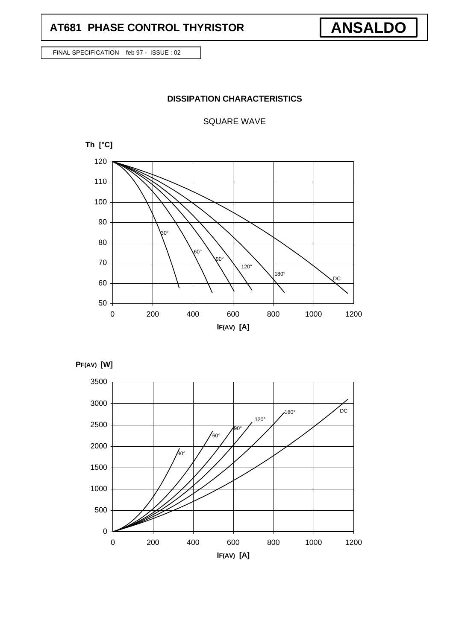## **AT681 PHASE CONTROL THYRISTOR**

FINAL SPECIFICATION feb 97 - ISSUE : 02

## **DISSIPATION CHARACTERISTICS**

**ANSALDO**

SQUARE WAVE





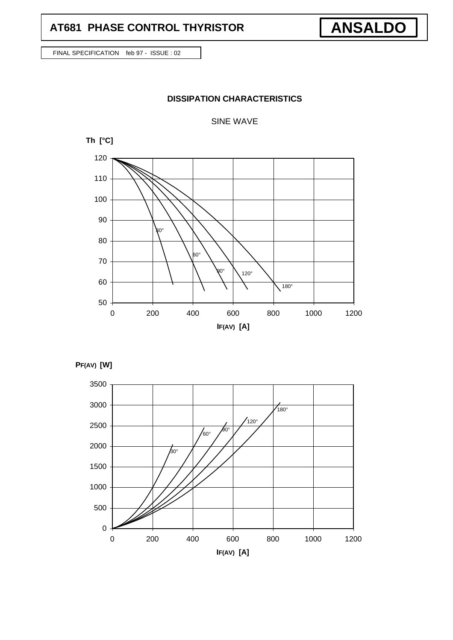## **AT681 PHASE CONTROL THYRISTOR**

FINAL SPECIFICATION feb 97 - ISSUE : 02

## **DISSIPATION CHARACTERISTICS**

**ANSALDO**

## SINE WAVE